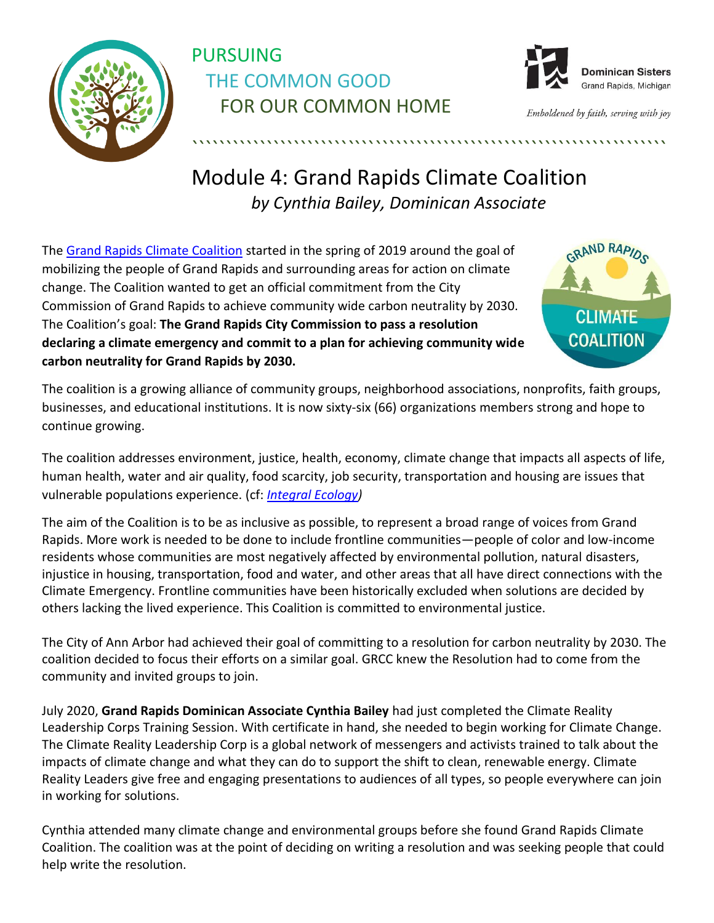

## PURSUING THE COMMON GOOD FOR OUR COMMON HOME



Emboldened by faith, serving with joy

## Module 4: Grand Rapids Climate Coalition *by Cynthia Bailey, Dominican Associate*

``````````````````````````````````````````````````````````````````````

The [Grand Rapids Climate Coalition](https://grclimateaction.org/) started in the spring of 2019 around the goal of mobilizing the people of Grand Rapids and surrounding areas for action on climate change. The Coalition wanted to get an official commitment from the City Commission of Grand Rapids to achieve community wide carbon neutrality by 2030. The Coalition's goal: **The Grand Rapids City Commission to pass a resolution declaring a climate emergency and commit to a plan for achieving community wide carbon neutrality for Grand Rapids by 2030.** 



The coalition is a growing alliance of community groups, neighborhood associations, nonprofits, faith groups, businesses, and educational institutions. It is now sixty-six (66) organizations members strong and hope to continue growing.

The coalition addresses environment, justice, health, economy, climate change that impacts all aspects of life, human health, water and air quality, food scarcity, job security, transportation and housing are issues that vulnerable populations experience. (cf: *[Integral Ecology\)](https://files.constantcontact.com/ee264f21401/173aab95-b66c-4560-ae2f-cdc61f9ab22e.pdf)*

The aim of the Coalition is to be as inclusive as possible, to represent a broad range of voices from Grand Rapids. More work is needed to be done to include frontline communities—people of color and low-income residents whose communities are most negatively affected by environmental pollution, natural disasters, injustice in housing, transportation, food and water, and other areas that all have direct connections with the Climate Emergency. Frontline communities have been historically excluded when solutions are decided by others lacking the lived experience. This Coalition is committed to environmental justice.

The City of Ann Arbor had achieved their goal of committing to a resolution for carbon neutrality by 2030. The coalition decided to focus their efforts on a similar goal. GRCC knew the Resolution had to come from the community and invited groups to join.

July 2020, **Grand Rapids Dominican Associate Cynthia Bailey** had just completed the Climate Reality Leadership Corps Training Session. With certificate in hand, she needed to begin working for Climate Change. The Climate Reality Leadership Corp is a global network of messengers and activists trained to talk about the impacts of climate change and what they can do to support the shift to clean, renewable energy. Climate Reality Leaders give free and engaging presentations to audiences of all types, so people everywhere can join in working for solutions.

Cynthia attended many climate change and environmental groups before she found Grand Rapids Climate Coalition. The coalition was at the point of deciding on writing a resolution and was seeking people that could help write the resolution.